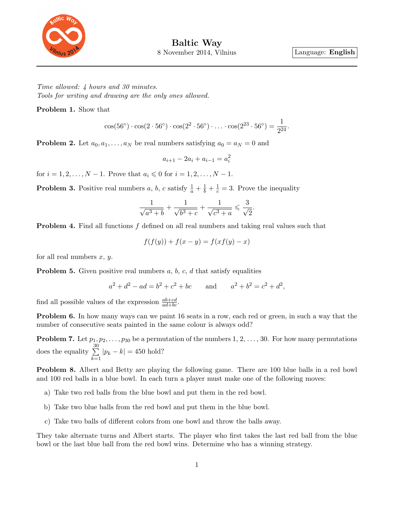

Time allowed: 4 hours and 30 minutes. Tools for writing and drawing are the only ones allowed.

Problem 1. Show that

$$
\cos(56^{\circ}) \cdot \cos(2 \cdot 56^{\circ}) \cdot \cos(2^2 \cdot 56^{\circ}) \cdot \ldots \cdot \cos(2^{23} \cdot 56^{\circ}) = \frac{1}{2^{24}}.
$$

**Problem 2.** Let  $a_0, a_1, \ldots, a_N$  be real numbers satisfying  $a_0 = a_N = 0$  and

$$
a_{i+1} - 2a_i + a_{i-1} = a_i^2
$$

for  $i = 1, 2, ..., N - 1$ . Prove that  $a_i \leq 0$  for  $i = 1, 2, ..., N - 1$ .

**Problem 3.** Positive real numbers a, b, c satisfy  $\frac{1}{a} + \frac{1}{b} + \frac{1}{c} = 3$ . Prove the inequality

$$
\frac{1}{\sqrt{a^3+b}}+\frac{1}{\sqrt{b^3+c}}+\frac{1}{\sqrt{c^3+a}}\leqslant \frac{3}{\sqrt{2}}.
$$

Problem 4. Find all functions f defined on all real numbers and taking real values such that

$$
f(f(y)) + f(x - y) = f(xf(y) - x)
$$

for all real numbers  $x, y$ .

**Problem 5.** Given positive real numbers  $a, b, c, d$  that satisfy equalities

$$
a^2 + d^2 - ad = b^2 + c^2 + bc
$$
 and  $a^2 + b^2 = c^2 + d^2$ ,

find all possible values of the expression  $\frac{ab+cd}{ad+bc}$ .

Problem 6. In how many ways can we paint 16 seats in a row, each red or green, in such a way that the number of consecutive seats painted in the same colour is always odd?

**Problem 7.** Let  $p_1, p_2, \ldots, p_{30}$  be a permutation of the numbers 1, 2, ..., 30. For how many permutations does the equality  $\sum_{n=1}^{\infty}$  $_{k=1}$  $|p_k - k| = 450$  hold?

Problem 8. Albert and Betty are playing the following game. There are 100 blue balls in a red bowl and 100 red balls in a blue bowl. In each turn a player must make one of the following moves:

- a) Take two red balls from the blue bowl and put them in the red bowl.
- b) Take two blue balls from the red bowl and put them in the blue bowl.
- c) Take two balls of different colors from one bowl and throw the balls away.

They take alternate turns and Albert starts. The player who first takes the last red ball from the blue bowl or the last blue ball from the red bowl wins. Determine who has a winning strategy.